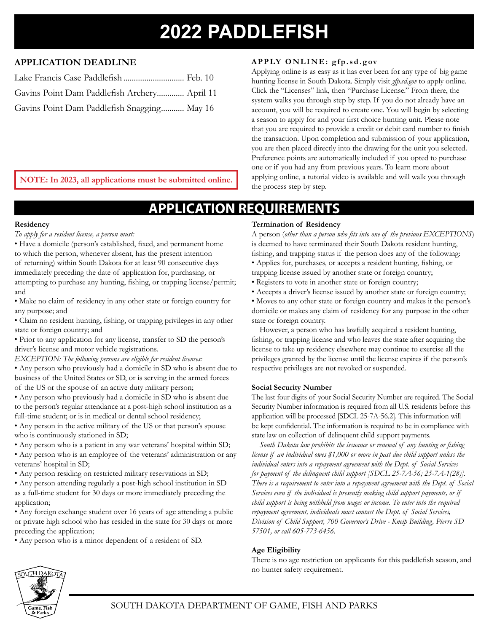# **2022 PADDLEFISH**

#### **APPLICATION DEADLINE**

| Lake Francis Case Paddlefish  Feb. 10        |  |
|----------------------------------------------|--|
| Gavins Point Dam Paddlefish Archery April 11 |  |
| Gavins Point Dam Paddlefish Snagging May 16  |  |

#### **APPLY ONLINE: gfp.sd.gov**

Applying online is as easy as it has ever been for any type of big game hunting license in South Dakota. Simply visit *gfp.sd.gov* to apply online. Click the "Licenses" link, then "Purchase License." From there, the system walks you through step by step. If you do not already have an account, you will be required to create one. You will begin by selecting a season to apply for and your first choice hunting unit. Please note that you are required to provide a credit or debit card number to finish the transaction. Upon completion and submission of your application, you are then placed directly into the drawing for the unit you selected. Preference points are automatically included if you opted to purchase one or if you had any from previous years. To learn more about applying online, a tutorial video is available and will walk you through the process step by step.

**NOTE: In 2023, all applications must be submitted online.**

## **APPLICATION REQUIREMEN**

#### **Residency**

#### *To apply for a resident license, a person must:*

- Have a domicile (person's established, fixed, and permanent home to which the person, whenever absent, has the present intention of returning) within South Dakota for at least 90 consecutive days immediately preceding the date of application for, purchasing, or attempting to purchase any hunting, fishing, or trapping license/permit; and
- Make no claim of residency in any other state or foreign country for any purpose; and
- Claim no resident hunting, fishing, or trapping privileges in any other state or foreign country; and
- Prior to any application for any license, transfer to SD the person's driver's license and motor vehicle registrations.
- *EXCEPTION: The following persons are eligible for resident licenses:*
- Any person who previously had a domicile in SD who is absent due to business of the United States or SD, or is serving in the armed forces of the US or the spouse of an active duty military person;
- Any person who previously had a domicile in SD who is absent due to the person's regular attendance at a post-high school institution as a full-time student; or is in medical or dental school residency;
- Any person in the active military of the US or that person's spouse who is continuously stationed in SD;
- Any person who is a patient in any war veterans' hospital within SD;
- Any person who is an employee of the veterans' administration or any veterans' hospital in SD;
- Any person residing on restricted military reservations in SD;
- Any person attending regularly a post-high school institution in SD as a full-time student for 30 days or more immediately preceding the application;
- Any foreign exchange student over 16 years of age attending a public or private high school who has resided in the state for 30 days or more preceding the application;
- Any person who is a minor dependent of a resident of SD.

#### **Termination of Residency**

A person (*other than a person who fits into one of the previous EXCEPTIONS*) is deemed to have terminated their South Dakota resident hunting, fishing, and trapping status if the person does any of the following: • Applies for, purchases, or accepts a resident hunting, fishing, or

- trapping license issued by another state or foreign country;
- Registers to vote in another state or foreign country;
- Accepts a driver's license issued by another state or foreign country;

• Moves to any other state or foreign country and makes it the person's domicile or makes any claim of residency for any purpose in the other state or foreign country.

However, a person who has lawfully acquired a resident hunting, fishing, or trapping license and who leaves the state after acquiring the license to take up residency elsewhere may continue to exercise all the privileges granted by the license until the license expires if the person's respective privileges are not revoked or suspended.

#### **Social Security Number**

The last four digits of your Social Security Number are required. The Social Security Number information is required from all U.S. residents before this application will be processed [SDCL 25-7A-56.2]. This information will be kept confidential. The information is required to be in compliance with state law on collection of delinquent child support payments.

*South Dakota law prohibits the issuance or renewal of any hunting or fishing license if an individual owes \$1,000 or more in past due child support unless the individual enters into a repayment agreement with the Dept. of Social Services for payment of the delinquent child support [SDCL 25-7A-56; 25-7A-1(28)]. There is a requirement to enter into a repayment agreement with the Dept. of Social Services even if the individual is presently making child support payments, or if child support is being withheld from wages or income. To enter into the required repayment agreement, individuals must contact the Dept. of Social Services, Division of Child Support, 700 Governor's Drive - Kneip Building, Pierre SD 57501, or call 605-773-6456.*

#### **Age Eligibility**

There is no age restriction on applicants for this paddlefish season, and no hunter safety requirement.

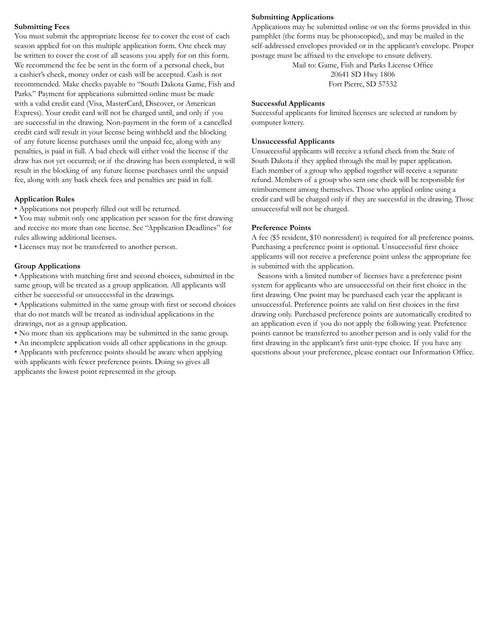#### **Submitting Fees**

You must submit the appropriate license fee to cover the cost of each season applied for on this multiple application form. One check may be written to cover the cost of all seasons you apply for on this form. We recommend the fee be sent in the form of a personal check, but a cashier's check, money order or cash will be accepted. Cash is not recommended. Make checks payable to "South Dakota Game, Fish and Parks." Payment for applications submitted online must be made with a valid credit card (Visa, MasterCard, Discover, or American Express). Your credit card will not be charged until, and only if you are successful in the drawing. Non-payment in the form of a cancelled credit card will result in your license being withheld and the blocking of any future license purchases until the unpaid fee, along with any penalties, is paid in full. A bad check will either void the license if the draw has not yet occurred; or if the drawing has been completed, it will result in the blocking of any future license purchases until the unpaid fee, along with any back check fees and penalties are paid in full.

#### **Application Rules**

• Applications not properly filled out will be returned.

• You may submit only one application per season for the first drawing and receive no more than one license. See "Application Deadlines" for rules allowing additional licenses.

• Licenses may not be transferred to another person.

#### **Group Applications**

• Applications with matching first and second choices, submitted in the same group, will be treated as a group application. All applicants will either be successful or unsuccessful in the drawings.

• Applications submitted in the same group with first or second choices that do not match will be treated as individual applications in the drawings, not as a group application.

- No more than six applications may be submitted in the same group.
- An incomplete application voids all other applications in the group.

• Applicants with preference points should be aware when applying with applicants with fewer preference points. Doing so gives all applicants the lowest point represented in the group.

#### **Submitting Applications**

Applications may be submitted online or on the forms provided in this pamphlet (the forms may be photocopied), and may be mailed in the self-addressed envelopes provided or in the applicant's envelope. Proper postage must be affixed to the envelope to ensure delivery.

Mail to: Game, Fish and Parks License Office 20641 SD Hwy 1806 Fort Pierre, SD 57532

#### **Successful Applicants**

Successful applicants for limited licenses are selected at random by computer lottery.

#### **Unsuccessful Applicants**

Unsuccessful applicants will receive a refund check from the State of South Dakota if they applied through the mail by paper application. Each member of a group who applied together will receive a separate refund. Members of a group who sent one check will be responsible for reimbursement among themselves. Those who applied online using a credit card will be charged only if they are successful in the drawing. Those unsuccessful will not be charged.

#### **Preference Points**

A fee (\$5 resident, \$10 nonresident) is required for all preference points. Purchasing a preference point is optional. Unsuccessful first choice applicants will not receive a preference point unless the appropriate fee is submitted with the application.

Seasons with a limited number of licenses have a preference point system for applicants who are unsuccessful on their first choice in the first drawing. One point may be purchased each year the applicant is unsuccessful. Preference points are valid on first choices in the first drawing only. Purchased preference points are automatically credited to an application even if you do not apply the following year. Preference points cannot be transferred to another person and is only valid for the first drawing in the applicant's first unit-type choice. If you have any questions about your preference, please contact our Information Office.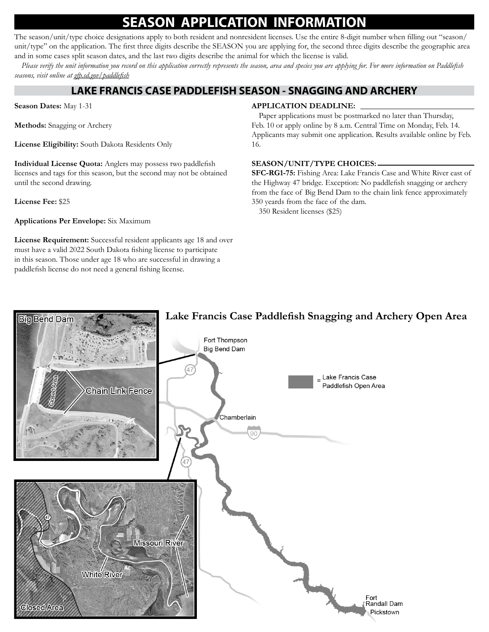### **SEASON APPLICATION INFORMAT**

The season/unit/type choice designations apply to both resident and nonresident licenses. Use the entire 8-digit number when filling out "season/ unit/type" on the application. The first three digits describe the SEASON you are applying for, the second three digits describe the geographic area and in some cases split season dates, and the last two digits describe the animal for which the license is valid.

*Please verify the unit information you record on this application correctly represents the season, area and species you are applying for. For more information on Paddlefish seasons, visit online at gfp.sd.gov/paddlefish*

### **LAKE FRANCIS CASE PADDLEFISH SEASON - SNAGGING AND ARCHERY**

**Season Dates:** May 1-31

**Methods:** Snagging or Archery

**License Eligibility:** South Dakota Residents Only

**Individual License Quota:** Anglers may possess two paddlefish licenses and tags for this season, but the second may not be obtained until the second drawing.

**License Fee:** \$25

**Applications Per Envelope:** Six Maximum

**License Requirement:** Successful resident applicants age 18 and over must have a valid 2022 South Dakota fishing license to participate in this season. Those under age 18 who are successful in drawing a paddlefish license do not need a general fishing license.

#### **APPLICATION DEADLINE:**

Paper applications must be postmarked no later than Thursday, Feb. 10 or apply online by 8 a.m. Central Time on Monday, Feb. 14. Applicants may submit one application. Results available online by Feb. 16.

#### **SEASON/UNIT/TYPE CHOICES:**

**SFC-RG1-75:** Fishing Area: Lake Francis Case and White River east of the Highway 47 bridge. Exception: No paddlefish snagging or archery from the face of Big Bend Dam to the chain link fence approximately 350 yeards from the face of the dam.

350 Resident licenses (\$25)

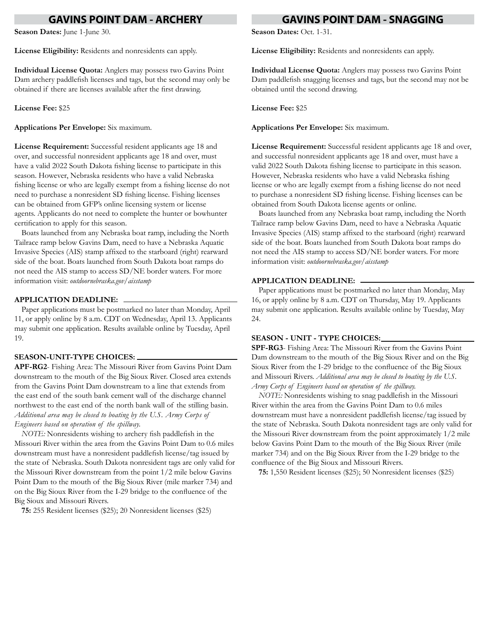### **GAVINS POINT DAM - ARCHERY**

**Season Dates:** June 1-June 30.

**License Eligibility:** Residents and nonresidents can apply.

**Individual License Quota:** Anglers may possess two Gavins Point Dam archery paddlefish licenses and tags, but the second may only be obtained if there are licenses available after the first drawing.

**License Fee:** \$25

**Applications Per Envelope:** Six maximum.

**License Requirement:** Successful resident applicants age 18 and over, and successful nonresident applicants age 18 and over, must have a valid 2022 South Dakota fishing license to participate in this season. However, Nebraska residents who have a valid Nebraska fishing license or who are legally exempt from a fishing license do not need to purchase a nonresident SD fishing license. Fishing licenses can be obtained from GFP's online licensing system or license agents. Applicants do not need to complete the hunter or bowhunter certification to apply for this season.

Boats launched from any Nebraska boat ramp, including the North Tailrace ramp below Gavins Dam, need to have a Nebraska Aquatic Invasive Species (AIS) stamp affixed to the starboard (right) rearward side of the boat. Boats launched from South Dakota boat ramps do not need the AIS stamp to access SD/NE border waters. For more information visit: *outdoornebraska.gov/aisstamp* 

#### **APPLICATION DEADLINE:**

Paper applications must be postmarked no later than Monday, April 11, or apply online by 8 a.m. CDT on Wednesday, April 13. Applicants may submit one application. Results available online by Tuesday, April 19.

#### **SEASON-UNIT-TYPE CHOICES:**

**APF-RG2**- Fishing Area: The Missouri River from Gavins Point Dam downstream to the mouth of the Big Sioux River. Closed area extends from the Gavins Point Dam downstream to a line that extends from the east end of the south bank cement wall of the discharge channel northwest to the east end of the north bank wall of the stilling basin. *Additional area may be closed to boating by the U.S. Army Corps of Engineers based on operation of the spillway.*

*NOTE:* Nonresidents wishing to archery fish paddlefish in the Missouri River within the area from the Gavins Point Dam to 0.6 miles downstream must have a nonresident paddlefish license/tag issued by the state of Nebraska. South Dakota nonresident tags are only valid for the Missouri River downstream from the point 1/2 mile below Gavins Point Dam to the mouth of the Big Sioux River (mile marker 734) and on the Big Sioux River from the I-29 bridge to the confluence of the Big Sioux and Missouri Rivers.

**75:** 255 Resident licenses (\$25); 20 Nonresident licenses (\$25)

#### **GAVINS POINT DAM - SNAGGING**

**Season Dates: Oct. 1-31.** 

**License Eligibility:** Residents and nonresidents can apply.

**Individual License Quota:** Anglers may possess two Gavins Point Dam paddlefish snagging licenses and tags, but the second may not be obtained until the second drawing.

**License Fee:** \$25

**Applications Per Envelope:** Six maximum.

**License Requirement:** Successful resident applicants age 18 and over, and successful nonresident applicants age 18 and over, must have a valid 2022 South Dakota fishing license to participate in this season. However, Nebraska residents who have a valid Nebraska fishing license or who are legally exempt from a fishing license do not need to purchase a nonresident SD fishing license. Fishing licenses can be obtained from South Dakota license agents or online.

Boats launched from any Nebraska boat ramp, including the North Tailrace ramp below Gavins Dam, need to have a Nebraska Aquatic Invasive Species (AIS) stamp affixed to the starboard (right) rearward side of the boat. Boats launched from South Dakota boat ramps do not need the AIS stamp to access SD/NE border waters. For more information visit: *outdoornebraska.gov/aisstamp*

#### **APPLICATION DEADLINE:**

Paper applications must be postmarked no later than Monday, May 16, or apply online by 8 a.m. CDT on Thursday, May 19. Applicants may submit one application. Results available online by Tuesday, May 24.

#### **SEASON - UNIT - TYPE CHOICES:**

**SPF-RG3**- Fishing Area: The Missouri River from the Gavins Point Dam downstream to the mouth of the Big Sioux River and on the Big Sioux River from the I-29 bridge to the confluence of the Big Sioux and Missouri Rivers. *Additional area may be closed to boating by the U.S. Army Corps of Engineers based on operation of the spillway.*

*NOTE:* Nonresidents wishing to snag paddlefish in the Missouri River within the area from the Gavins Point Dam to 0.6 miles downstream must have a nonresident paddlefish license/tag issued by the state of Nebraska. South Dakota nonresident tags are only valid for the Missouri River downstream from the point approximately 1/2 mile below Gavins Point Dam to the mouth of the Big Sioux River (mile marker 734) and on the Big Sioux River from the I-29 bridge to the confluence of the Big Sioux and Missouri Rivers.

**75:** 1,550 Resident licenses (\$25); 50 Nonresident licenses (\$25)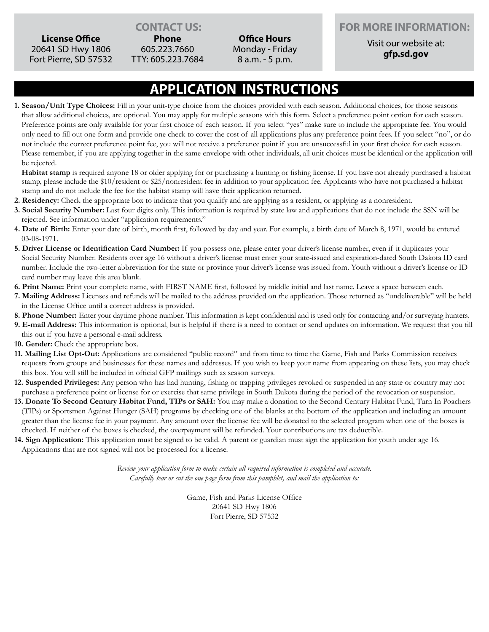**License Office** 20641 SD Hwy 1806 Fort Pierre, SD 57532

**Phone** 605.223.7660 TTY: 605.223.7684

**Office Hours** Monday - Friday 8 a.m. - 5 p.m.

#### **CONTACT US:**  FOR MORE INFORMATION:

Visit our website at: **gfp.sd.gov**

### **APPLICATION INSTRUCTIONS**

**1. Season/Unit Type Choices:** Fill in your unit-type choice from the choices provided with each season. Additional choices, for those seasons that allow additional choices, are optional. You may apply for multiple seasons with this form. Select a preference point option for each season. Preference points are only available for your first choice of each season. If you select "yes" make sure to include the appropriate fee. You would only need to fill out one form and provide one check to cover the cost of all applications plus any preference point fees. If you select "no", or do not include the correct preference point fee, you will not receive a preference point if you are unsuccessful in your first choice for each season. Please remember, if you are applying together in the same envelope with other individuals, all unit choices must be identical or the application will be rejected.

**Habitat stamp** is required anyone 18 or older applying for or purchasing a hunting or fishing license. If you have not already purchased a habitat stamp, please include the \$10/resident or \$25/nonresident fee in addition to your application fee. Applicants who have not purchased a habitat stamp and do not include the fee for the habitat stamp will have their application returned.

- **2. Residency:** Check the appropriate box to indicate that you qualify and are applying as a resident, or applying as a nonresident.
- **3. Social Security Number:** Last four digits only. This information is required by state law and applications that do not include the SSN will be rejected. See information under "application requirements."
- **4. Date of Birth:** Enter your date of birth, month first, followed by day and year. For example, a birth date of March 8, 1971, would be entered 03-08-1971.
- **5. Driver License or Identification Card Number:** If you possess one, please enter your driver's license number, even if it duplicates your Social Security Number. Residents over age 16 without a driver's license must enter your state-issued and expiration-dated South Dakota ID card number. Include the two-letter abbreviation for the state or province your driver's license was issued from. Youth without a driver's license or ID card number may leave this area blank.
- **6. Print Name:** Print your complete name, with FIRST NAME first, followed by middle initial and last name. Leave a space between each.
- **7. Mailing Address:** Licenses and refunds will be mailed to the address provided on the application. Those returned as "undeliverable" will be held in the License Office until a correct address is provided.
- **8. Phone Number:** Enter your daytime phone number. This information is kept confidential and is used only for contacting and/or surveying hunters.
- **9. E-mail Address:** This information is optional, but is helpful if there is a need to contact or send updates on information. We request that you fill this out if you have a personal e-mail address.
- **10. Gender:** Check the appropriate box.
- **11. Mailing List Opt-Out:** Applications are considered "public record" and from time to time the Game, Fish and Parks Commission receives requests from groups and businesses for these names and addresses. If you wish to keep your name from appearing on these lists, you may check this box. You will still be included in official GFP mailings such as season surveys.
- **12. Suspended Privileges:** Any person who has had hunting, fishing or trapping privileges revoked or suspended in any state or country may not purchase a preference point or license for or exercise that same privilege in South Dakota during the period of the revocation or suspension.
- **13. Donate To Second Century Habitat Fund, TIPs or SAH:** You may make a donation to the Second Century Habitat Fund, Turn In Poachers (TIPs) or Sportsmen Against Hunger (SAH) programs by checking one of the blanks at the bottom of the application and including an amount greater than the license fee in your payment. Any amount over the license fee will be donated to the selected program when one of the boxes is checked. If neither of the boxes is checked, the overpayment will be refunded. Your contributions are tax deductible.
- **14. Sign Application:** This application must be signed to be valid. A parent or guardian must sign the application for youth under age 16. Applications that are not signed will not be processed for a license.

*Review your application form to make certain all required information is completed and accurate. Carefully tear or cut the one page form from this pamphlet, and mail the application to:*

> Game, Fish and Parks License Office 20641 SD Hwy 1806 Fort Pierre, SD 57532